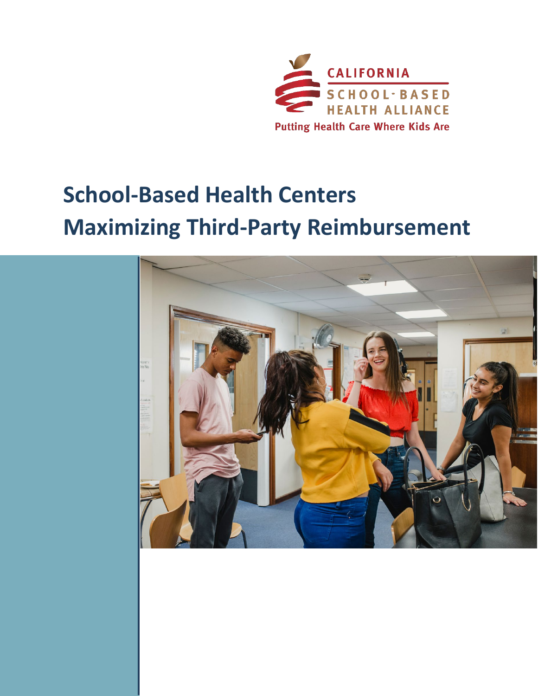

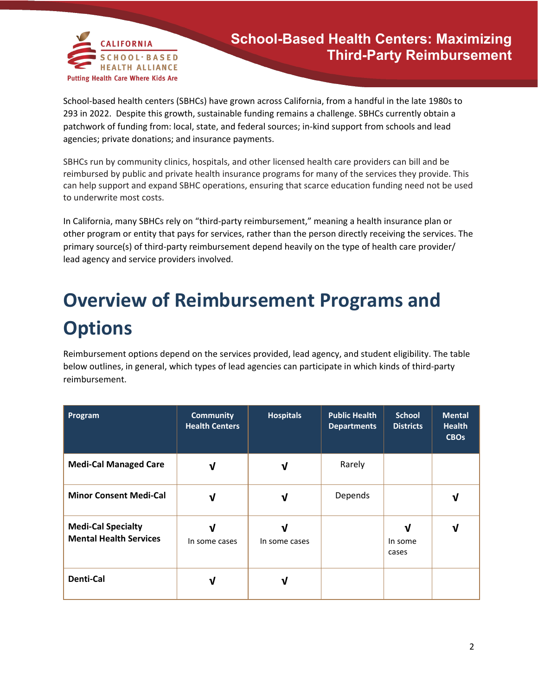

School-based health centers (SBHCs) have grown across California, from a handful in the late 1980s to 293 in 2022. Despite this growth, sustainable funding remains a challenge. SBHCs currently obtain a patchwork of funding from: local, state, and federal sources; in-kind support from schools and lead agencies; private donations; and insurance payments.

SBHCs run by community clinics, hospitals, and other licensed health care providers can bill and be reimbursed by public and private health insurance programs for many of the services they provide. This can help support and expand SBHC operations, ensuring that scarce education funding need not be used to underwrite most costs.

In California, many SBHCs rely on "third-party reimbursement," meaning a health insurance plan or other program or entity that pays for services, rather than the person directly receiving the services. The primary source(s) of third-party reimbursement depend heavily on the type of health care provider/ lead agency and service providers involved.

## **Overview of Reimbursement Programs and Options**

Reimbursement options depend on the services provided, lead agency, and student eligibility. The table below outlines, in general, which types of lead agencies can participate in which kinds of third-party reimbursement.

| Program                                                    | <b>Community</b><br><b>Health Centers</b> | <b>Hospitals</b> | <b>Public Health</b><br><b>Departments</b> | <b>School</b><br><b>Districts</b> | <b>Mental</b><br><b>Health</b><br><b>CBOs</b> |
|------------------------------------------------------------|-------------------------------------------|------------------|--------------------------------------------|-----------------------------------|-----------------------------------------------|
| <b>Medi-Cal Managed Care</b>                               | V                                         | V                | Rarely                                     |                                   |                                               |
| <b>Minor Consent Medi-Cal</b>                              | V                                         | V                | Depends                                    |                                   | ν                                             |
| <b>Medi-Cal Specialty</b><br><b>Mental Health Services</b> | V<br>In some cases                        | In some cases    |                                            | v<br>In some<br>cases             | ν                                             |
| <b>Denti-Cal</b>                                           | V                                         |                  |                                            |                                   |                                               |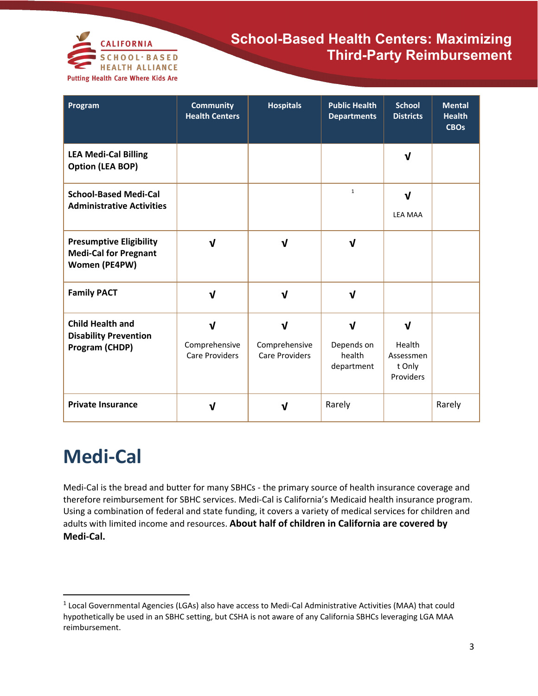

| Program                                                                         | <b>Community</b><br><b>Health Centers</b>              | <b>Hospitals</b>                                       | <b>Public Health</b><br><b>Departments</b> | <b>School</b><br><b>Districts</b>               | <b>Mental</b><br><b>Health</b><br><b>CBOs</b> |
|---------------------------------------------------------------------------------|--------------------------------------------------------|--------------------------------------------------------|--------------------------------------------|-------------------------------------------------|-----------------------------------------------|
| <b>LEA Medi-Cal Billing</b><br><b>Option (LEA BOP)</b>                          |                                                        |                                                        |                                            | V                                               |                                               |
| <b>School-Based Medi-Cal</b><br><b>Administrative Activities</b>                |                                                        |                                                        | $\mathbf{1}$                               | V<br><b>LEA MAA</b>                             |                                               |
| <b>Presumptive Eligibility</b><br><b>Medi-Cal for Pregnant</b><br>Women (PE4PW) | $\mathbf{v}$                                           | $\mathbf{v}$                                           | $\mathbf v$                                |                                                 |                                               |
| <b>Family PACT</b>                                                              | $\mathbf v$                                            | $\sqrt{ }$                                             | ν                                          |                                                 |                                               |
| <b>Child Health and</b><br><b>Disability Prevention</b><br>Program (CHDP)       | $\mathbf{v}$<br>Comprehensive<br><b>Care Providers</b> | $\mathbf{v}$<br>Comprehensive<br><b>Care Providers</b> | J<br>Depends on<br>health<br>department    | ν<br>Health<br>Assessmen<br>t Only<br>Providers |                                               |
| <b>Private Insurance</b>                                                        | νI                                                     | V                                                      | Rarely                                     |                                                 | Rarely                                        |

## **Medi-Cal**

l

Medi-Cal is the bread and butter for many SBHCs - the primary source of health insurance coverage and therefore reimbursement for SBHC services. Medi-Cal is California's Medicaid health insurance program. Using a combination of federal and state funding, it covers a variety of medical services for children and adults with limited income and resources. **About half of children in California are covered by Medi-Cal.** 

<span id="page-2-0"></span> $1$  Local Governmental Agencies (LGAs) also have access to Medi-Cal Administrative Activities (MAA) that could hypothetically be used in an SBHC setting, but CSHA is not aware of any California SBHCs leveraging LGA MAA reimbursement.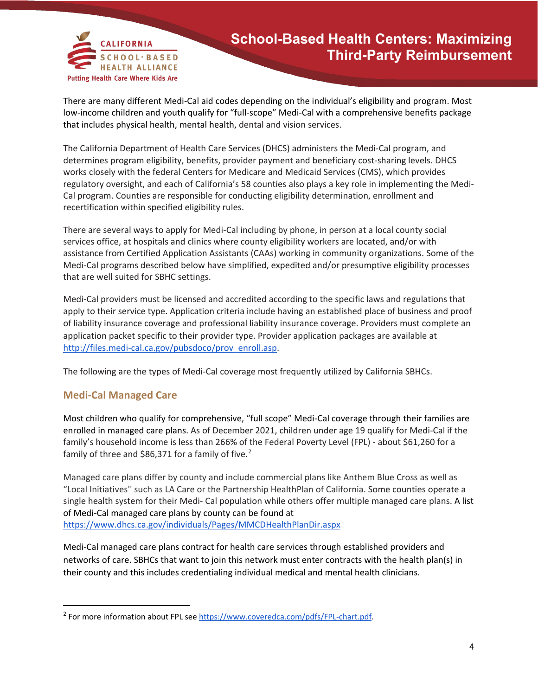

There are many different Medi-Cal aid codes depending on the individual's eligibility and program. Most low-income children and youth qualify for "full-scope" Medi-Cal with a comprehensive benefits package that includes physical health, mental health, dental and vision services.

The California Department of Health Care Services (DHCS) administers the Medi-Cal program, and determines program eligibility, benefits, provider payment and beneficiary cost-sharing levels. DHCS works closely with the federal Centers for Medicare and Medicaid Services (CMS), which provides regulatory oversight, and each of California's 58 counties also plays a key role in implementing the Medi-Cal program. Counties are responsible for conducting eligibility determination, enrollment and recertification within specified eligibility rules.

There are several ways to apply for Medi-Cal including by phone, in person at a local county social services office, at hospitals and clinics where county eligibility workers are located, and/or with assistance from Certified Application Assistants (CAAs) working in community organizations. Some of the Medi-Cal programs described below have simplified, expedited and/or presumptive eligibility processes that are well suited for SBHC settings.

Medi-Cal providers must be licensed and accredited according to the specific laws and regulations that apply to their service type. Application criteria include having an established place of business and proof of liability insurance coverage and professional liability insurance coverage. Providers must complete an application packet specific to their provider type. Provider application packages are available at [http://files.medi-cal.ca.gov/pubsdoco/prov\\_enroll.asp.](http://files.medi-cal.ca.gov/pubsdoco/prov_enroll.asp)

The following are the types of Medi-Cal coverage most frequently utilized by California SBHCs.

### **Medi-Cal Managed Care**

 $\overline{\phantom{a}}$ 

Most children who qualify for comprehensive, "full scope" Medi-Cal coverage through their families are enrolled in managed care plans. As of December 2021, children under age 19 qualify for Medi-Cal if the family's household income is less than 266% of the Federal Poverty Level (FPL) - about \$61,260 for a family of three and \$86,371 for a family of five. $2$ 

Managed care plans differ by county and include commercial plans like Anthem Blue Cross as well as "Local Initiatives'' such as LA Care or the Partnership HealthPlan of California. Some counties operate a single health system for their Medi- Cal population while others offer multiple managed care plans. A list of Medi-Cal managed care plans by county can be found at <https://www.dhcs.ca.gov/individuals/Pages/MMCDHealthPlanDir.aspx>

Medi-Cal managed care plans contract for health care services through established providers and networks of care. SBHCs that want to join this network must enter contracts with the health plan(s) in their county and this includes credentialing individual medical and mental health clinicians.

<span id="page-3-0"></span><sup>&</sup>lt;sup>2</sup> For more information about FPL se[e https://www.coveredca.com/pdfs/FPL-chart.pdf.](https://www.coveredca.com/pdfs/FPL-chart.pdf)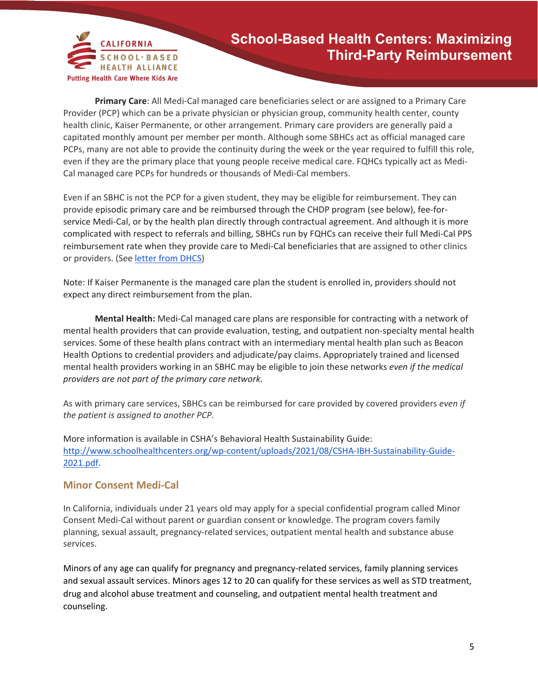

**Primary Care**: All Medi-Cal managed care beneficiaries select or are assigned to a Primary Care Provider (PCP) which can be a private physician or physician group, community health center, county health clinic, Kaiser Permanente, or other arrangement. Primary care providers are generally paid a capitated monthly amount per member per month. Although some SBHCs act as official managed care PCPs, many are not able to provide the continuity during the week or the year required to fulfill this role, even if they are the primary place that young people receive medical care. FQHCs typically act as Medi-Cal managed care PCPs for hundreds or thousands of Medi-Cal members.

Even if an SBHC is not the PCP for a given student, they may be eligible for reimbursement. They can provide episodic primary care and be reimbursed through the CHDP program (see below), fee-forservice Medi-Cal, or by the health plan directly through contractual agreement. And although it is more complicated with respect to referrals and billing, SBHCs run by FQHCs can receive their full Medi-Cal PPS reimbursement rate when they provide care to Medi-Cal beneficiaries that are assigned to other clinics or providers. (See [letter from DHCS\)](https://drive.google.com/file/d/1AVnCeQuZY3PBy_pX04dxe9Umai6eaQB1/view?usp=sharing)

Note: If Kaiser Permanente is the managed care plan the student is enrolled in, providers should not expect any direct reimbursement from the plan.

**Mental Health:** Medi-Cal managed care plans are responsible for contracting with a network of mental health providers that can provide evaluation, testing, and outpatient non-specialty mental health services. Some of these health plans contract with an intermediary mental health plan such as Beacon Health Options to credential providers and adjudicate/pay claims. Appropriately trained and licensed mental health providers working in an SBHC may be eligible to join these networks *even if the medical providers are not part of the primary care network*.

As with primary care services, SBHCs can be reimbursed for care provided by covered providers *even if the patient is assigned to another PCP.* 

More information is available in CSHA's Behavioral Health Sustainability Guide: [http://www.schoolhealthcenters.org/wp-content/uploads/2021/08/CSHA-IBH-Sustainability-Guide-](http://www.schoolhealthcenters.org/wp-content/uploads/2021/08/CSHA-IBH-Sustainability-Guide-2021.pdf)[2021.pdf.](http://www.schoolhealthcenters.org/wp-content/uploads/2021/08/CSHA-IBH-Sustainability-Guide-2021.pdf)

#### **Minor Consent Medi-Cal**

In California, individuals under 21 years old may apply for a special confidential program called Minor Consent Medi-Cal without parent or guardian consent or knowledge. The program covers family planning, sexual assault, pregnancy-related services, outpatient mental health and substance abuse services.

Minors of any age can qualify for pregnancy and pregnancy-related services, family planning services and sexual assault services. Minors ages 12 to 20 can qualify for these services as well as STD treatment, drug and alcohol abuse treatment and counseling, and outpatient mental health treatment and counseling.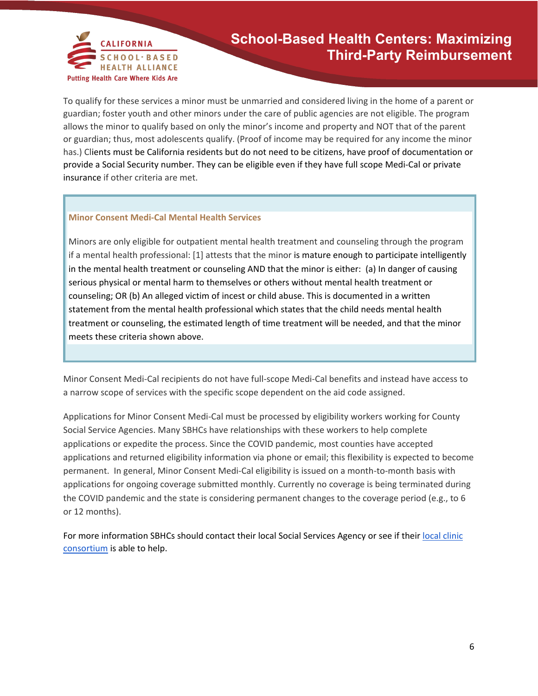

To qualify for these services a minor must be unmarried and considered living in the home of a parent or guardian; foster youth and other minors under the care of public agencies are not eligible. The program allows the minor to qualify based on only the minor's income and property and NOT that of the parent or guardian; thus, most adolescents qualify. (Proof of income may be required for any income the minor has.) Clients must be California residents but do not need to be citizens, have proof of documentation or provide a Social Security number. They can be eligible even if they have full scope Medi-Cal or private insurance if other criteria are met.

#### **Minor Consent Medi-Cal Mental Health Services**

Minors are only eligible for outpatient mental health treatment and counseling through the program if a mental health professional: [1] attests that the minor is mature enough to participate intelligently in the mental health treatment or counseling AND that the minor is either: (a) In danger of causing serious physical or mental harm to themselves or others without mental health treatment or counseling; OR (b) An alleged victim of incest or child abuse. This is documented in a written statement from the mental health professional which states that the child needs mental health treatment or counseling, the estimated length of time treatment will be needed, and that the minor meets these criteria shown above.

Minor Consent Medi-Cal recipients do not have full-scope Medi-Cal benefits and instead have access to a narrow scope of services with the specific scope dependent on the aid code assigned.

Applications for Minor Consent Medi-Cal must be processed by eligibility workers working for County Social Service Agencies. Many SBHCs have relationships with these workers to help complete applications or expedite the process. Since the COVID pandemic, most counties have accepted applications and returned eligibility information via phone or email; this flexibility is expected to become permanent. In general, Minor Consent Medi-Cal eligibility is issued on a month-to-month basis with applications for ongoing coverage submitted monthly. Currently no coverage is being terminated during the COVID pandemic and the state is considering permanent changes to the coverage period (e.g., to 6 or 12 months).

Fo[r](https://www.cpca.org/CPCA/About/Membership/Regional_Associations_of_California_RAC/CPCA/About/Regional_Associations_of_California__RAC_.aspx?hkey=3fa4bb68-d085-4bd1-98a0-752271cfec78) more information SBHCs should contact their local Social Services Agency or see if their local clinic [consortium](https://www.cpca.org/CPCA/About/Membership/Regional_Associations_of_California_RAC/CPCA/About/Regional_Associations_of_California__RAC_.aspx?hkey=3fa4bb68-d085-4bd1-98a0-752271cfec78) is able to help.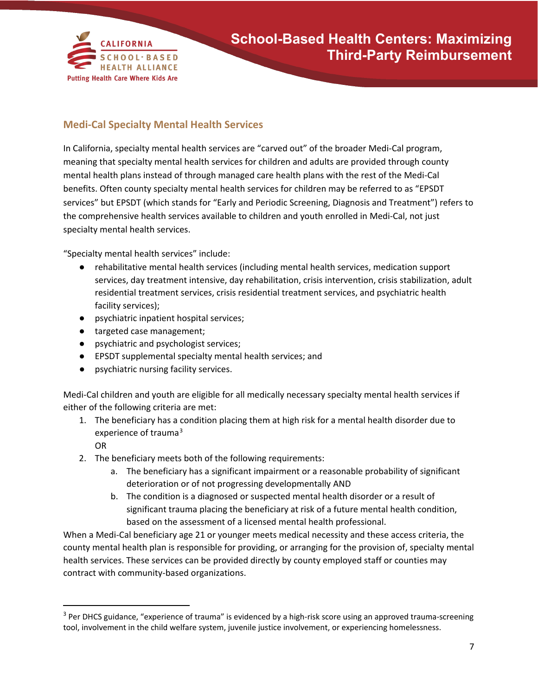

### **Medi-Cal Specialty Mental Health Services**

In California, specialty mental health services are "carved out" of the broader Medi-Cal program, meaning that specialty mental health services for children and adults are provided through county mental health plans instead of through managed care health plans with the rest of the Medi-Cal benefits. Often county specialty mental health services for children may be referred to as "EPSDT services" but EPSDT (which stands for "Early and Periodic Screening, Diagnosis and Treatment") refers to the comprehensive health services available to children and youth enrolled in Medi-Cal, not just specialty mental health services.

"Specialty mental health services" include:

- rehabilitative mental health services (including mental health services, medication support services, day treatment intensive, day rehabilitation, crisis intervention, crisis stabilization, adult residential treatment services, crisis residential treatment services, and psychiatric health facility services);
- psychiatric inpatient hospital services;
- targeted case management;
- psychiatric and psychologist services;
- EPSDT supplemental specialty mental health services; and
- psychiatric nursing facility services.

Medi-Cal children and youth are eligible for all medically necessary specialty mental health services if either of the following criteria are met:

- 1. The beneficiary has a condition placing them at high risk for a mental health disorder due to experience of trauma<sup>[3](#page-6-0)</sup>
	- OR

 $\overline{\phantom{a}}$ 

- 2. The beneficiary meets both of the following requirements:
	- a. The beneficiary has a significant impairment or a reasonable probability of significant deterioration or of not progressing developmentally AND
	- b. The condition is a diagnosed or suspected mental health disorder or a result of significant trauma placing the beneficiary at risk of a future mental health condition, based on the assessment of a licensed mental health professional.

When a Medi-Cal beneficiary age 21 or younger meets medical necessity and these access criteria, the county mental health plan is responsible for providing, or arranging for the provision of, specialty mental health services. These services can be provided directly by county employed staff or counties may contract with community-based organizations.

<span id="page-6-0"></span> $3$  Per DHCS guidance, "experience of trauma" is evidenced by a high-risk score using an approved trauma-screening tool, involvement in the child welfare system, juvenile justice involvement, or experiencing homelessness.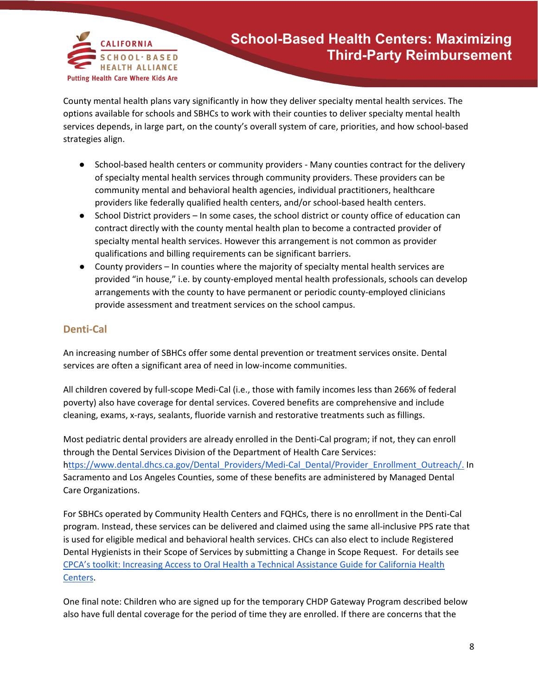

County mental health plans vary significantly in how they deliver specialty mental health services. The options available for schools and SBHCs to work with their counties to deliver specialty mental health services depends, in large part, on the county's overall system of care, priorities, and how school-based strategies align.

- School-based health centers or community providers Many counties contract for the delivery of specialty mental health services through community providers. These providers can be community mental and behavioral health agencies, individual practitioners, healthcare providers like federally qualified health centers, and/or school-based health centers.
- School District providers In some cases, the school district or county office of education can contract directly with the county mental health plan to become a contracted provider of specialty mental health services. However this arrangement is not common as provider qualifications and billing requirements can be significant barriers.
- County providers In counties where the majority of specialty mental health services are provided "in house," i.e. by county-employed mental health professionals, schools can develop arrangements with the county to have permanent or periodic county-employed clinicians provide assessment and treatment services on the school campus.

### **Denti-Cal**

An increasing number of SBHCs offer some dental prevention or treatment services onsite. Dental services are often a significant area of need in low-income communities.

All children covered by full-scope Medi-Cal (i.e., those with family incomes less than 266% of federal poverty) also have coverage for dental services. Covered benefits are comprehensive and include cleaning, exams, x-rays, sealants, fluoride varnish and restorative treatments such as fillings.

Most pediatric dental providers are already enrolled in the Denti-Cal program; if not, they can enroll through the Dental Services Division of the Department of Health Care Services: [https://www.dental.dhcs.ca.gov/Dental\\_Providers/Medi-Cal\\_Dental/Provider\\_Enrollment\\_Outreach/.](https://www.dental.dhcs.ca.gov/Dental_Providers/Medi-Cal_Dental/Provider_Enrollment_Outreach/) In Sacramento and Los Angeles Counties, some of these benefits are administered by Managed Dental Care Organizations.

For SBHCs operated by Community Health Centers and FQHCs, there is no enrollment in the Denti-Cal program. Instead, these services can be delivered and claimed using the same all-inclusive PPS rate that is used for eligible medical and behavioral health services. CHCs can also elect to include Registered Dental Hygienists in their Scope of Services by submitting a Change in Scope Request. For details see [CPCA's toolkit: Increasing Access to Oral Health a Technical Assistance Guide for California Health](https://drive.google.com/open?id=1neHVHDp0PNX8OYuOMZsr2T-U5xHzrYKL&authuser=aranger%40schoolhealthcenters.org&usp=drive_fs)  [Centers.](https://drive.google.com/open?id=1neHVHDp0PNX8OYuOMZsr2T-U5xHzrYKL&authuser=aranger%40schoolhealthcenters.org&usp=drive_fs)

One final note: Children who are signed up for the temporary CHDP Gateway Program described below also have full dental coverage for the period of time they are enrolled. If there are concerns that the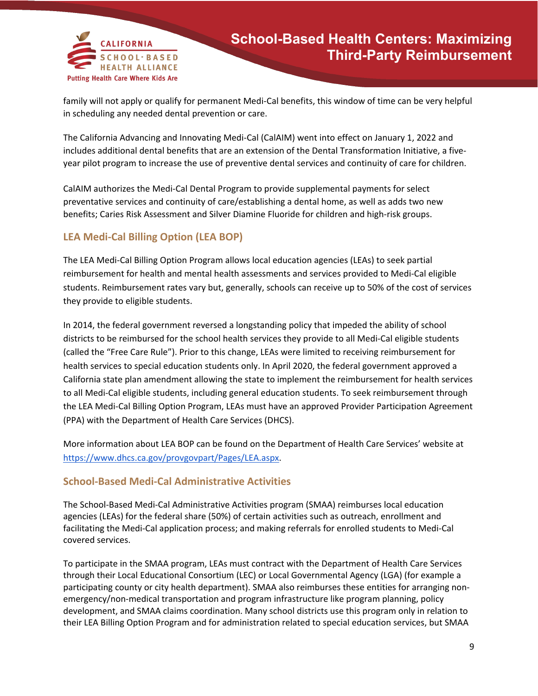

family will not apply or qualify for permanent Medi-Cal benefits, this window of time can be very helpful in scheduling any needed dental prevention or care.

The California Advancing and Innovating Medi-Cal (CalAIM) went into effect on January 1, 2022 and includes additional dental benefits that are an extension of the Dental Transformation Initiative, a fiveyear pilot program to increase the use of preventive dental services and continuity of care for children.

CalAIM authorizes the Medi-Cal Dental Program to provide supplemental payments for select preventative services and continuity of care/establishing a dental home, as well as adds two new benefits; Caries Risk Assessment and Silver Diamine Fluoride for children and high-risk groups.

### **LEA Medi-Cal Billing Option (LEA BOP)**

The LEA Medi-Cal Billing Option Program allows local education agencies (LEAs) to seek partial reimbursement for health and mental health assessments and services provided to Medi-Cal eligible students. Reimbursement rates vary but, generally, schools can receive up to 50% of the cost of services they provide to eligible students.

In 2014, the federal government reversed a longstanding policy that impeded the ability of school districts to be reimbursed for the school health services they provide to all Medi-Cal eligible students (called the "Free Care Rule"). Prior to this change, LEAs were limited to receiving reimbursement for health services to special education students only. In April 2020, the federal government approved a California state plan amendment allowing the state to implement the reimbursement for health services to all Medi-Cal eligible students, including general education students. To seek reimbursement through the LEA Medi-Cal Billing Option Program, LEAs must have an approved Provider Participation Agreement (PPA) with the Department of Health Care Services (DHCS).

More information about LEA BOP can be found on the Department of Health Care Services' website at [https://www.dhcs.ca.gov/provgovpart/Pages/LEA.aspx.](https://www.dhcs.ca.gov/provgovpart/Pages/LEA.aspx)

### **School-Based Medi-Cal Administrative Activities**

The School-Based Medi-Cal Administrative Activities program (SMAA) reimburses local education agencies (LEAs) for the federal share (50%) of certain activities such as outreach, enrollment and facilitating the Medi-Cal application process; and making referrals for enrolled students to Medi-Cal covered services.

To participate in the SMAA program, LEAs must contract with the Department of Health Care Services through their Local Educational Consortium (LEC) or Local Governmental Agency (LGA) (for example a participating county or city health department). SMAA also reimburses these entities for arranging nonemergency/non-medical transportation and program infrastructure like program planning, policy development, and SMAA claims coordination. Many school districts use this program only in relation to their LEA Billing Option Program and for administration related to special education services, but SMAA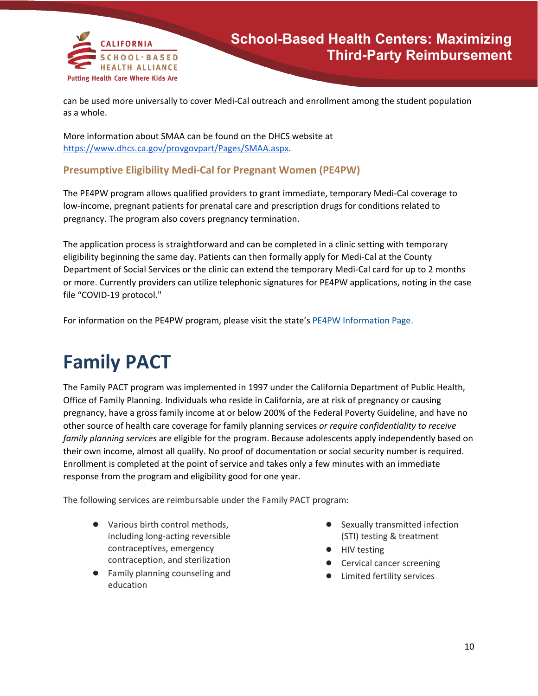

can be used more universally to cover Medi-Cal outreach and enrollment among the student population as a whole.

More information about SMAA can be found on the DHCS website at [https://www.dhcs.ca.gov/provgovpart/Pages/SMAA.aspx.](https://www.dhcs.ca.gov/provgovpart/Pages/SMAA.aspx)

### **Presumptive Eligibility Medi-Cal for Pregnant Women (PE4PW)**

The PE4PW program allows qualified providers to grant immediate, temporary Medi-Cal coverage to low-income, pregnant patients for prenatal care and prescription drugs for conditions related to pregnancy. The program also covers pregnancy termination.

The application process is straightforward and can be completed in a clinic setting with temporary eligibility beginning the same day. Patients can then formally apply for Medi-Cal at the County Department of Social Services or the clinic can extend the temporary Medi-Cal card for up to 2 months or more. Currently providers can utilize telephonic signatures for PE4PW applications, noting in the case file "COVID-19 protocol."

For information on the PE4PW program, please visit the state's [PE4PW Information Page.](https://www.dhcs.ca.gov/services/medi-cal/eligibility/Pages/PE_Info_women.aspx)

## **Family PACT**

The Family PACT program was implemented in 1997 under the California Department of Public Health, Office of Family Planning. Individuals who reside in California, are at risk of pregnancy or causing pregnancy, have a gross family income at or below 200% of the Federal Poverty Guideline, and have no other source of health care coverage for family planning services *or require confidentiality to receive family planning services* are eligible for the program. Because adolescents apply independently based on their own income, almost all qualify. No proof of documentation or social security number is required. Enrollment is completed at the point of service and takes only a few minutes with an immediate response from the program and eligibility good for one year.

The following services are reimbursable under the Family PACT program:

- Various birth control methods, including long-acting reversible contraceptives, emergency contraception, and sterilization
- Family planning counseling and education
- Sexually transmitted infection (STI) testing & treatment
- HIV testing
- Cervical cancer screening
- Limited fertility services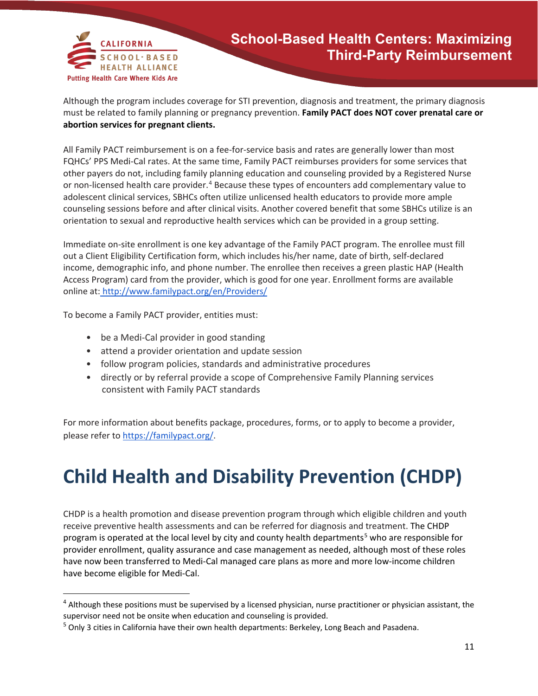

Although the program includes coverage for STI prevention, diagnosis and treatment, the primary diagnosis must be related to family planning or pregnancy prevention. **Family PACT does NOT cover prenatal care or abortion services for pregnant clients.**

All Family PACT reimbursement is on a fee-for-service basis and rates are generally lower than most FQHCs' PPS Medi-Cal rates. At the same time, Family PACT reimburses providers for some services that other payers do not, including family planning education and counseling provided by a Registered Nurse or non-licensed health care provider.<sup>[4](#page-10-0)</sup> Because these types of encounters add complementary value to adolescent clinical services, SBHCs often utilize unlicensed health educators to provide more ample counseling sessions before and after clinical visits. Another covered benefit that some SBHCs utilize is an orientation to sexual and reproductive health services which can be provided in a group setting.

Immediate on-site enrollment is one key advantage of the Family PACT program. The enrollee must fill out a Client Eligibility Certification form, which includes his/her name, date of birth, self-declared income, demographic info, and phone number. The enrollee then receives a green plastic HAP (Health Access Program) card from the provider, which is good for one year. Enrollment forms are available online at: <http://www.familypact.org/en/Providers/>

To become a Family PACT provider, entities must:

 $\overline{a}$ 

- be a Medi-Cal provider in good standing
- attend a provider orientation and update session
- follow program policies, standards and administrative procedures
- directly or by referral provide a scope of Comprehensive Family Planning services consistent with Family PACT standards

For more information about benefits package, procedures, forms, or to apply to become a provider, please refer t[o https://familypact.org/.](https://familypact.org/)

## **Child Health and Disability Prevention (CHDP)**

CHDP is a health promotion and disease prevention program through which eligible children and youth receive preventive health assessments and can be referred for diagnosis and treatment. The CHDP program is operated at the local level by city and county health departments<sup>[5](#page-10-1)</sup> who are responsible for provider enrollment, quality assurance and case management as needed, although most of these roles have now been transferred to Medi-Cal managed care plans as more and more low-income children have become eligible for Medi-Cal.

<span id="page-10-0"></span> $<sup>4</sup>$  Although these positions must be supervised by a licensed physician, nurse practitioner or physician assistant, the</sup> supervisor need not be onsite when education and counseling is provided.<br><sup>5</sup> Only 3 cities in California have their own health departments: Berkeley, Long Beach and Pasadena.

<span id="page-10-1"></span>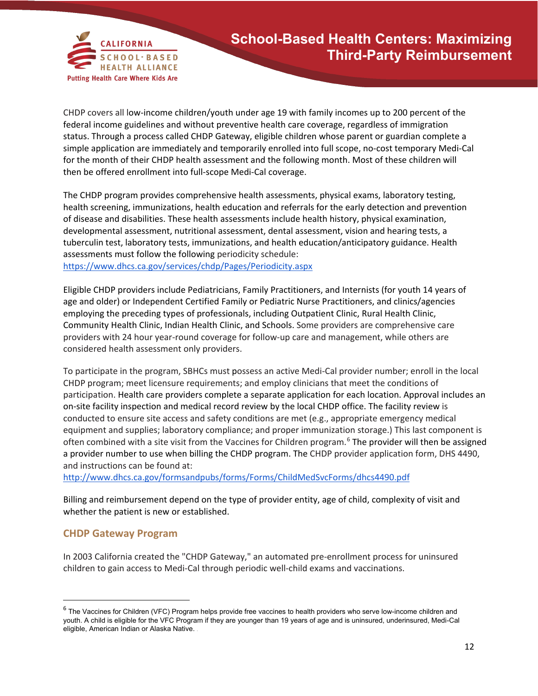

CHDP covers all low-income children/youth under age 19 with family incomes up to 200 percent of the federal income guidelines and without preventive health care coverage, regardless of immigration status. Through a process called CHDP Gateway, eligible children whose parent or guardian complete a simple application are immediately and temporarily enrolled into full scope, no-cost temporary Medi-Cal for the month of their CHDP health assessment and the following month. Most of these children will then be offered enrollment into full-scope Medi-Cal coverage.

The CHDP program provides comprehensive health assessments, physical exams, laboratory testing, health screening, immunizations, health education and referrals for the early detection and prevention of disease and disabilities. These health assessments include health history, physical examination, developmental assessment, nutritional assessment, dental assessment, vision and hearing tests, a tuberculin test, laboratory tests, immunizations, and health education/anticipatory guidance. Health assessments must follow the following periodicity schedule: <https://www.dhcs.ca.gov/services/chdp/Pages/Periodicity.aspx>

Eligible CHDP providers include Pediatricians, Family Practitioners, and Internists (for youth 14 years of age and older) or Independent Certified Family or Pediatric Nurse Practitioners, and clinics/agencies employing the preceding types of professionals, including Outpatient Clinic, Rural Health Clinic, Community Health Clinic, Indian Health Clinic, and Schools. Some providers are comprehensive care providers with 24 hour year-round coverage for follow-up care and management, while others are considered health assessment only providers.

To participate in the program, SBHCs must possess an active Medi-Cal provider number; enroll in the local CHDP program; meet licensure requirements; and employ clinicians that meet the conditions of participation. Health care providers complete a separate application for each location. Approval includes an on-site facility inspection and medical record review by the local CHDP office. The facility review is conducted to ensure site access and safety conditions are met (e.g., appropriate emergency medical equipment and supplies; laboratory compliance; and proper immunization storage.) This last component is often combined with a site visit from the Vaccines for Children program.[6](#page-11-0) The provider will then be assigned a provider number to use when billing the CHDP program. The CHDP provider application form, DHS 4490, and instructions can be found at[:](http://www.dhcs.ca.gov/formsandpubs/forms/Forms/ChildMedSvcForms/dhcs4490.pdf)

<http://www.dhcs.ca.gov/formsandpubs/forms/Forms/ChildMedSvcForms/dhcs4490.pdf>

Billing and reimbursement depend on the type of provider entity, age of child, complexity of visit and whether the patient is new or established.

#### **CHDP Gateway Program**

l

In 2003 California created the "CHDP Gateway," an automated pre-enrollment process for uninsured children to gain access to Medi-Cal through periodic well-child exams and vaccinations.

<span id="page-11-0"></span> $6$  The Vaccines for Children (VFC) Program helps provide free vaccines to health providers who serve low-income children and youth. A child is eligible for the VFC Program if they are younger than 19 years of age and is uninsured, underinsured, Medi-Cal eligible, American Indian or Alaska Native. .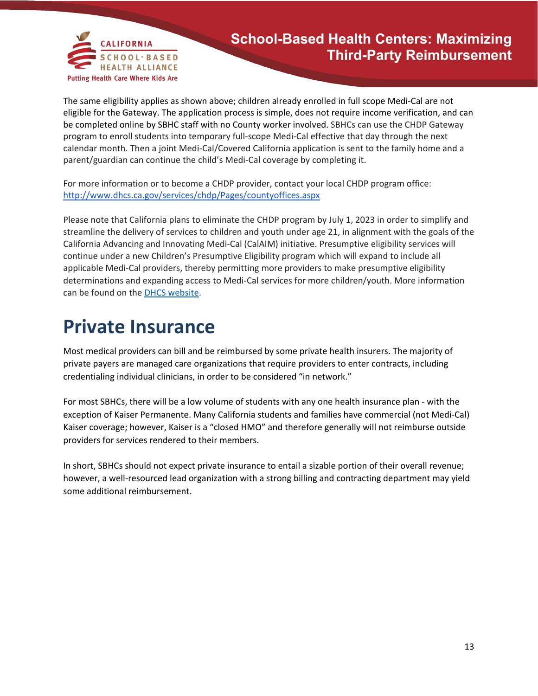

The same eligibility applies as shown above; children already enrolled in full scope Medi-Cal are not eligible for the Gateway. The application process is simple, does not require income verification, and can be completed online by SBHC staff with no County worker involved. SBHCs can use the CHDP Gateway program to enroll students into temporary full-scope Medi-Cal effective that day through the next calendar month. Then a join[t Medi-Cal/Covered California application](http://www.dhcs.ca.gov/services/medi-cal/eligibility/pages/singleStreamApps.aspx) is sent to the family home and a parent/guardian can continue the child's Medi-Cal coverage by completing it.

For more information or to become a CHDP provider, contact your local CHDP program office: <http://www.dhcs.ca.gov/services/chdp/Pages/countyoffices.aspx>

Please note that California plans to eliminate the CHDP program by July 1, 2023 in order to simplify and streamline the delivery of services to children and youth under age 21, in alignment with the goals of the California Advancing and Innovating Medi-Cal (CalAIM) initiative. Presumptive eligibility services will continue under a new Children's Presumptive Eligibility program which will expand to include all applicable Medi-Cal providers, thereby permitting more providers to make presumptive eligibility determinations and expanding access to Medi-Cal services for more children/youth. More information can be found on the [DHCS website.](https://gcc02.safelinks.protection.outlook.com/?url=https%3A%2F%2Fwww.dhcs.ca.gov%2FPages%2FGovernors-Budget-Proposal.aspx&data=04%7C01%7CMorgan.Clair%40dhcs.ca.gov%7C43ad0300afc940e8fa5308d9f8b28fc6%7C265c2dcd2a6e43aab2e826421a8c8526%7C0%7C0%7C637814268099638991%7CUnknown%7CTWFpbGZsb3d8eyJWIjoiMC4wLjAwMDAiLCJQIjoiV2luMzIiLCJBTiI6Ik1haWwiLCJXVCI6Mn0%3D%7C3000&sdata=prqQY44S9Aqvs0Ps3sm74D3mS7Tt1wrWSJEu%2Ft9nIyc%3D&reserved=0)

### **Private Insurance**

Most medical providers can bill and be reimbursed by some private health insurers. The majority of private payers are managed care organizations that require providers to enter contracts, including credentialing individual clinicians, in order to be considered "in network."

For most SBHCs, there will be a low volume of students with any one health insurance plan - with the exception of Kaiser Permanente. Many California students and families have commercial (not Medi-Cal) Kaiser coverage; however, Kaiser is a "closed HMO" and therefore generally will not reimburse outside providers for services rendered to their members.

In short, SBHCs should not expect private insurance to entail a sizable portion of their overall revenue; however, a well-resourced lead organization with a strong billing and contracting department may yield some additional reimbursement.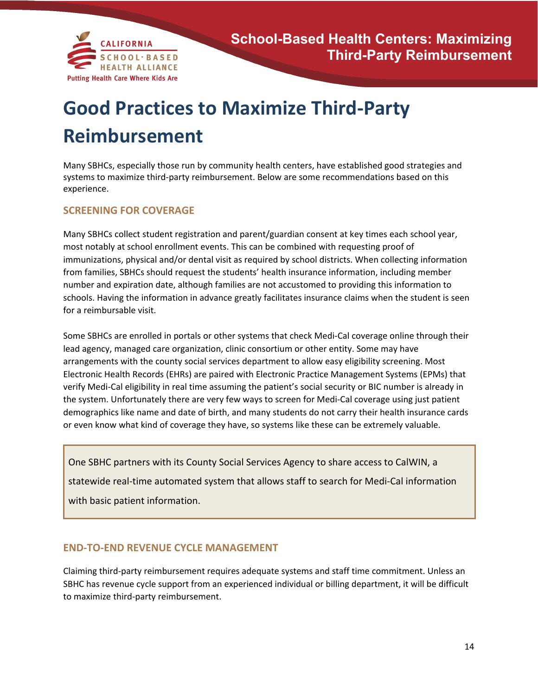

## **Good Practices to Maximize Third-Party Reimbursement**

Many SBHCs, especially those run by community health centers, have established good strategies and systems to maximize third-party reimbursement. Below are some recommendations based on this experience.

#### **SCREENING FOR COVERAGE**

Many SBHCs collect student registration and parent/guardian consent at key times each school year, most notably at school enrollment events. This can be combined with requesting proof of immunizations, physical and/or dental visit as required by school districts. When collecting information from families, SBHCs should request the students' health insurance information, including member number and expiration date, although families are not accustomed to providing this information to schools. Having the information in advance greatly facilitates insurance claims when the student is seen for a reimbursable visit.

Some SBHCs are enrolled in portals or other systems that check Medi-Cal coverage online through their lead agency, managed care organization, clinic consortium or other entity. Some may have arrangements with the county social services department to allow easy eligibility screening. Most Electronic Health Records (EHRs) are paired with Electronic Practice Management Systems (EPMs) that verify Medi-Cal eligibility in real time assuming the patient's social security or BIC number is already in the system. Unfortunately there are very few ways to screen for Medi-Cal coverage using just patient demographics like name and date of birth, and many students do not carry their health insurance cards or even know what kind of coverage they have, so systems like these can be extremely valuable.

One SBHC partners with its County Social Services Agency to share access to CalWIN, a statewide real-time automated system that allows staff to search for Medi-Cal information with basic patient information.

### **END-TO-END REVENUE CYCLE MANAGEMENT**

Claiming third-party reimbursement requires adequate systems and staff time commitment. Unless an SBHC has revenue cycle support from an experienced individual or billing department, it will be difficult to maximize third-party reimbursement.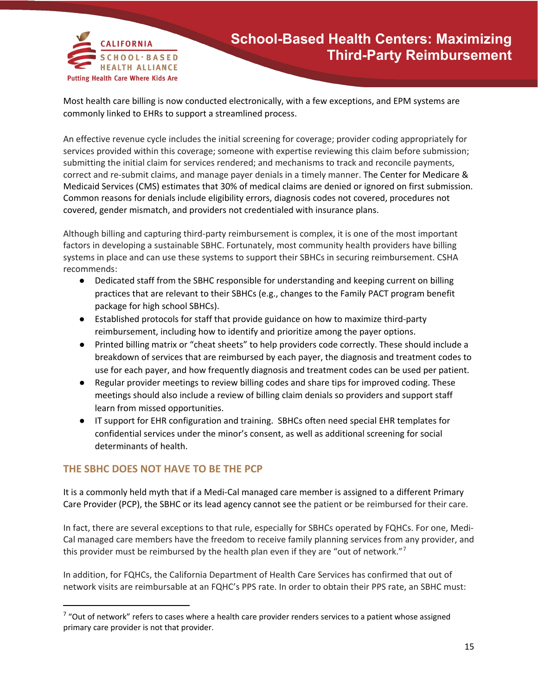

Most health care billing is now conducted electronically, with a few exceptions, and EPM systems are commonly linked to EHRs to support a streamlined process.

An effective revenue cycle includes the initial screening for coverage; provider coding appropriately for services provided within this coverage; someone with expertise reviewing this claim before submission; submitting the initial claim for services rendered; and mechanisms to track and reconcile payments, correct and re-submit claims, and manage payer denials in a timely manner. The Center for Medicare & Medicaid Services (CMS) estimates that 30% of medical claims are denied or ignored on first submission. Common reasons for denials include eligibility errors, diagnosis codes not covered, procedures not covered, gender mismatch, and providers not credentialed with insurance plans.

Although billing and capturing third-party reimbursement is complex, it is one of the most important factors in developing a sustainable SBHC. Fortunately, most community health providers have billing systems in place and can use these systems to support their SBHCs in securing reimbursement. CSHA recommends:

- Dedicated staff from the SBHC responsible for understanding and keeping current on billing practices that are relevant to their SBHCs (e.g., changes to the Family PACT program benefit package for high school SBHCs).
- Established protocols for staff that provide guidance on how to maximize third-party reimbursement, including how to identify and prioritize among the payer options.
- Printed billing matrix or "cheat sheets" to help providers code correctly. These should include a breakdown of services that are reimbursed by each payer, the diagnosis and treatment codes to use for each payer, and how frequently diagnosis and treatment codes can be used per patient.
- Regular provider meetings to review billing codes and share tips for improved coding. These meetings should also include a review of billing claim denials so providers and support staff learn from missed opportunities.
- IT support for EHR configuration and training. SBHCs often need special EHR templates for confidential services under the minor's consent, as well as additional screening for social determinants of health.

### **THE SBHC DOES NOT HAVE TO BE THE PCP**

It is a commonly held myth that if a Medi-Cal managed care member is assigned to a different Primary Care Provider (PCP), the SBHC or its lead agency cannot see the patient or be reimbursed for their care.

In fact, there are several exceptions to that rule, especially for SBHCs operated by FQHCs. For one, Medi-Cal managed care members have the freedom to receive family planning services from any provider, and this provider must be reimbursed by the health plan even if they are "out of network."<sup>[7](#page-14-0)</sup>

In addition, for FQHCs, the California Department of Health Care Services has confirmed that out of network visits are reimbursable at an FQHC's PPS rate. In order to obtain their PPS rate, an SBHC must:

<span id="page-14-0"></span> $7$  "Out of network" refers to cases where a health care provider renders services to a patient whose assigned primary care provider is not that provider.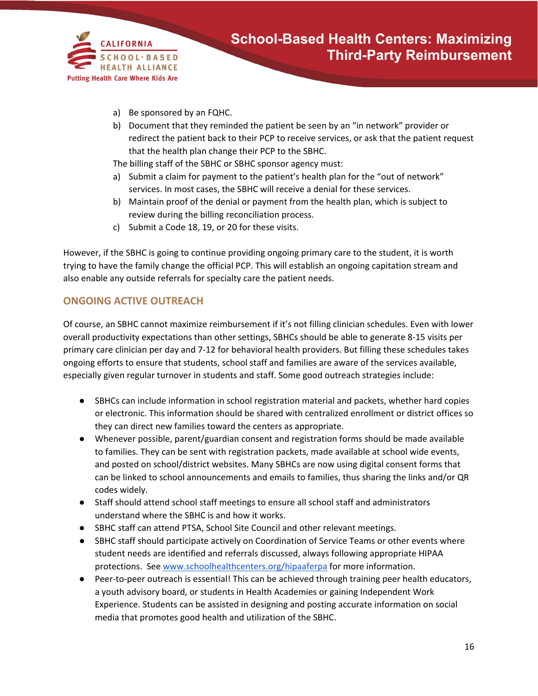

- a) Be sponsored by an FQHC.
- b) Document that they reminded the patient be seen by an "in network" provider or redirect the patient back to their PCP to receive services, or ask that the patient request that the health plan change their PCP to the SBHC.

The billing staff of the SBHC or SBHC sponsor agency must:

- a) Submit a claim for payment to the patient's health plan for the "out of network" services. In most cases, the SBHC will receive a denial for these services.
- b) Maintain proof of the denial or payment from the health plan, which is subject to review during the billing reconciliation process.
- c) Submit a Code 18, 19, or 20 for these visits.

However, if the SBHC is going to continue providing ongoing primary care to the student, it is worth trying to have the family change the official PCP. This will establish an ongoing capitation stream and also enable any outside referrals for specialty care the patient needs.

### **ONGOING ACTIVE OUTREACH**

Of course, an SBHC cannot maximize reimbursement if it's not filling clinician schedules. Even with lower overall productivity expectations than other settings, SBHCs should be able to generate 8-15 visits per primary care clinician per day and 7-12 for behavioral health providers. But filling these schedules takes ongoing efforts to ensure that students, school staff and families are aware of the services available, especially given regular turnover in students and staff. Some good outreach strategies include:

- SBHCs can include information in school registration material and packets, whether hard copies or electronic. This information should be shared with centralized enrollment or district offices so they can direct new families toward the centers as appropriate.
- Whenever possible, parent/guardian consent and registration forms should be made available to families. They can be sent with registration packets, made available at school wide events, and posted on school/district websites. Many SBHCs are now using digital consent forms that can be linked to school announcements and emails to families, thus sharing the links and/or QR codes widely.
- Staff should attend school staff meetings to ensure all school staff and administrators understand where the SBHC is and how it works.
- SBHC staff can attend PTSA, School Site Council and other relevant meetings.
- SBHC staff should participate actively on Coordination of Service Teams or other events where student needs are identified and referrals discussed, always following appropriate HIPAA protections. Se[e www.schoolhealthcenters.org/hipaaferpa](http://www.schoolhealthcenters.org/hipaaferpa) for more information.
- Peer-to-peer outreach is essential! This can be achieved through training peer health educators, a youth advisory board, or students in Health Academies or gaining Independent Work Experience. Students can be assisted in designing and posting accurate information on social media that promotes good health and utilization of the SBHC.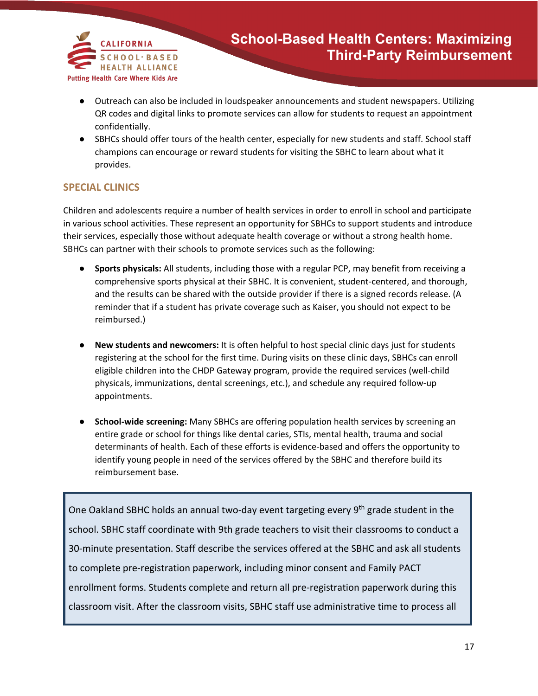

- Outreach can also be included in loudspeaker announcements and student newspapers. Utilizing QR codes and digital links to promote services can allow for students to request an appointment confidentially.
- SBHCs should offer tours of the health center, especially for new students and staff. School staff champions can encourage or reward students for visiting the SBHC to learn about what it provides.

#### **SPECIAL CLINICS**

Children and adolescents require a number of health services in order to enroll in school and participate in various school activities. These represent an opportunity for SBHCs to support students and introduce their services, especially those without adequate health coverage or without a strong health home. SBHCs can partner with their schools to promote services such as the following:

- **Sports physicals:** All students, including those with a regular PCP, may benefit from receiving a comprehensive sports physical at their SBHC. It is convenient, student-centered, and thorough, and the results can be shared with the outside provider if there is a signed records release. (A reminder that if a student has private coverage such as Kaiser, you should not expect to be reimbursed.)
- **New students and newcomers:** It is often helpful to host special clinic days just for students registering at the school for the first time. During visits on these clinic days, SBHCs can enroll eligible children into the CHDP Gateway program, provide the required services (well-child physicals, immunizations, dental screenings, etc.), and schedule any required follow-up appointments.
- **School-wide screening:** Many SBHCs are offering population health services by screening an entire grade or school for things like dental caries, STIs, mental health, trauma and social determinants of health. Each of these efforts is evidence-based and offers the opportunity to identify young people in need of the services offered by the SBHC and therefore build its reimbursement base.

One Oakland SBHC holds an annual two-day event targeting every 9<sup>th</sup> grade student in the school. SBHC staff coordinate with 9th grade teachers to visit their classrooms to conduct a 30-minute presentation. Staff describe the services offered at the SBHC and ask all students to complete pre-registration paperwork, including minor consent and Family PACT enrollment forms. Students complete and return all pre-registration paperwork during this classroom visit. After the classroom visits, SBHC staff use administrative time to process all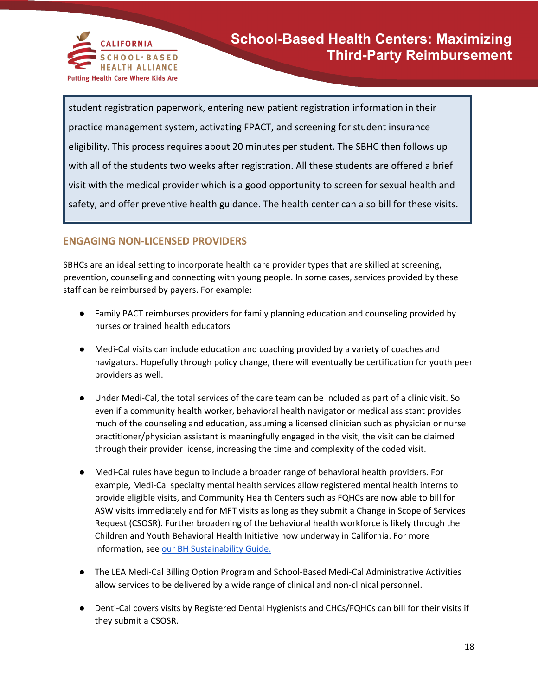

student registration paperwork, entering new patient registration information in their practice management system, activating FPACT, and screening for student insurance eligibility. This process requires about 20 minutes per student. The SBHC then follows up with all of the students two weeks after registration. All these students are offered a brief visit with the medical provider which is a good opportunity to screen for sexual health and safety, and offer preventive health guidance. The health center can also bill for these visits.

### **ENGAGING NON-LICENSED PROVIDERS**

SBHCs are an ideal setting to incorporate health care provider types that are skilled at screening, prevention, counseling and connecting with young people. In some cases, services provided by these staff can be reimbursed by payers. For example:

- Family PACT reimburses providers for family planning education and counseling provided by nurses or trained health educators
- Medi-Cal visits can include education and coaching provided by a variety of coaches and navigators. Hopefully through policy change, there will eventually be certification for youth peer providers as well.
- Under Medi-Cal, the total services of the care team can be included as part of a clinic visit. So even if a community health worker, behavioral health navigator or medical assistant provides much of the counseling and education, assuming a licensed clinician such as physician or nurse practitioner/physician assistant is meaningfully engaged in the visit, the visit can be claimed through their provider license, increasing the time and complexity of the coded visit.
- Medi-Cal rules have begun to include a broader range of behavioral health providers. For example, Medi-Cal specialty mental health services allow registered mental health interns to provide eligible visits, and Community Health Centers such as FQHCs are now able to bill for ASW visits immediately and for MFT visits as long as they submit a Change in Scope of Services Request (CSOSR). Further broadening of the behavioral health workforce is likely through the Children and Youth Behavioral Health Initiative now underway in California. For more information, see [our BH Sustainability Guide.](http://www.schoolhealthcenters.org/wp-content/uploads/2021/08/CSHA-IBH-Sustainability-Guide-2021.pdf)
- The LEA Medi-Cal Billing Option Program and School-Based Medi-Cal Administrative Activities allow services to be delivered by a wide range of clinical and non-clinical personnel.
- Denti-Cal covers visits by Registered Dental Hygienists and CHCs/FQHCs can bill for their visits if they submit a CSOSR.